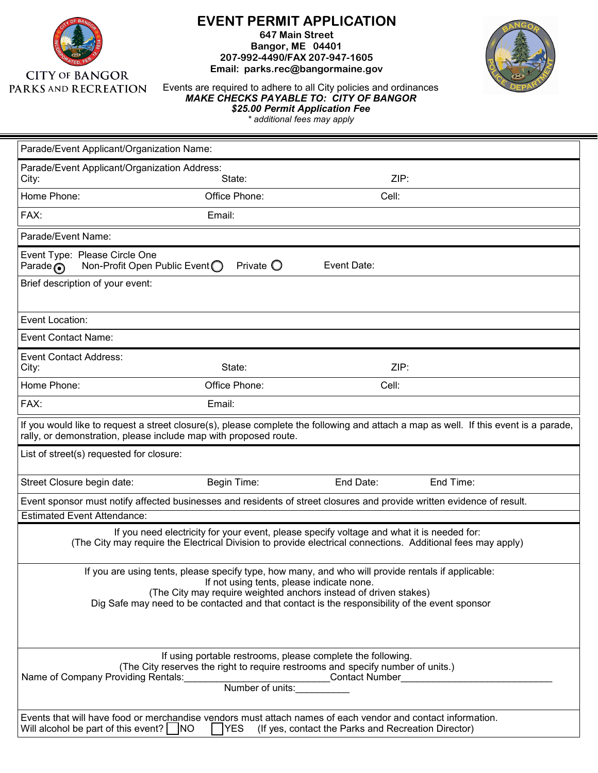

## **EVENT PERMIT APPLICATION**

**647 Main Street Bangor, ME 04401 207-992-4490/FAX 207-947-1605 Email: parks.rec@bangormaine.gov** 



Events are required to adhere to all City policies and ordinances *MAKE CHECKS PAYABLE TO: CITY OF BANGOR \$25.00 Permit Application Fee \* additional fees may apply*

| Parade/Event Applicant/Organization Name:                                                                                                                                                                                                                                                                            |                    |             |           |  |  |
|----------------------------------------------------------------------------------------------------------------------------------------------------------------------------------------------------------------------------------------------------------------------------------------------------------------------|--------------------|-------------|-----------|--|--|
| Parade/Event Applicant/Organization Address:<br>ZIP:<br>State:<br>City:                                                                                                                                                                                                                                              |                    |             |           |  |  |
| Home Phone:                                                                                                                                                                                                                                                                                                          | Office Phone:      | Cell:       |           |  |  |
| FAX:                                                                                                                                                                                                                                                                                                                 | Email:             |             |           |  |  |
| Parade/Event Name:                                                                                                                                                                                                                                                                                                   |                    |             |           |  |  |
| Event Type: Please Circle One<br>Non-Profit Open Public Event $\bigcirc$<br>Parade $\odot$                                                                                                                                                                                                                           | Private $\bigcirc$ | Event Date: |           |  |  |
| Brief description of your event:                                                                                                                                                                                                                                                                                     |                    |             |           |  |  |
| Event Location:                                                                                                                                                                                                                                                                                                      |                    |             |           |  |  |
| <b>Event Contact Name:</b>                                                                                                                                                                                                                                                                                           |                    |             |           |  |  |
| <b>Event Contact Address:</b><br>City:                                                                                                                                                                                                                                                                               | State:             | ZIP:        |           |  |  |
| Home Phone:                                                                                                                                                                                                                                                                                                          | Office Phone:      | Cell:       |           |  |  |
| FAX:                                                                                                                                                                                                                                                                                                                 | Email:             |             |           |  |  |
| If you would like to request a street closure(s), please complete the following and attach a map as well. If this event is a parade,<br>rally, or demonstration, please include map with proposed route.                                                                                                             |                    |             |           |  |  |
| List of street(s) requested for closure:                                                                                                                                                                                                                                                                             |                    |             |           |  |  |
| Street Closure begin date:                                                                                                                                                                                                                                                                                           | Begin Time:        | End Date:   | End Time: |  |  |
| Event sponsor must notify affected businesses and residents of street closures and provide written evidence of result.                                                                                                                                                                                               |                    |             |           |  |  |
| <b>Estimated Event Attendance:</b>                                                                                                                                                                                                                                                                                   |                    |             |           |  |  |
| If you need electricity for your event, please specify voltage and what it is needed for:<br>(The City may require the Electrical Division to provide electrical connections. Additional fees may apply)                                                                                                             |                    |             |           |  |  |
| If you are using tents, please specify type, how many, and who will provide rentals if applicable:<br>If not using tents, please indicate none.<br>(The City may require weighted anchors instead of driven stakes)<br>Dig Safe may need to be contacted and that contact is the responsibility of the event sponsor |                    |             |           |  |  |
| If using portable restrooms, please complete the following.<br>(The City reserves the right to require restrooms and specify number of units.)<br>Name of Company Providing Rentals:<br>Contact Number                                                                                                               |                    |             |           |  |  |
| Events that will have food or merchandise vendors must attach names of each vendor and contact information.<br>Will alcohol be part of this event? $\Box$ NO<br><b>TYES</b><br>(If yes, contact the Parks and Recreation Director)                                                                                   |                    |             |           |  |  |